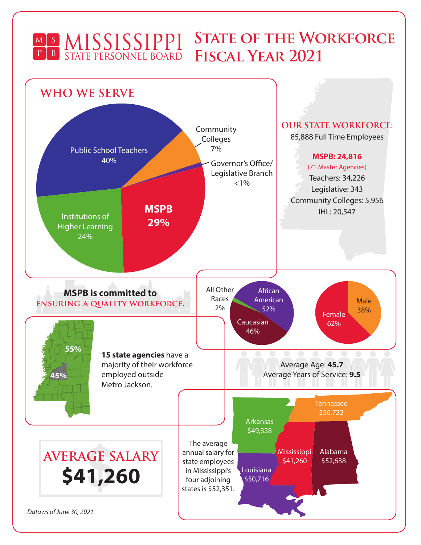## **STATE OF THE WORKFORCE** MS MISSISSIPPI **Fiscal Year 2021**